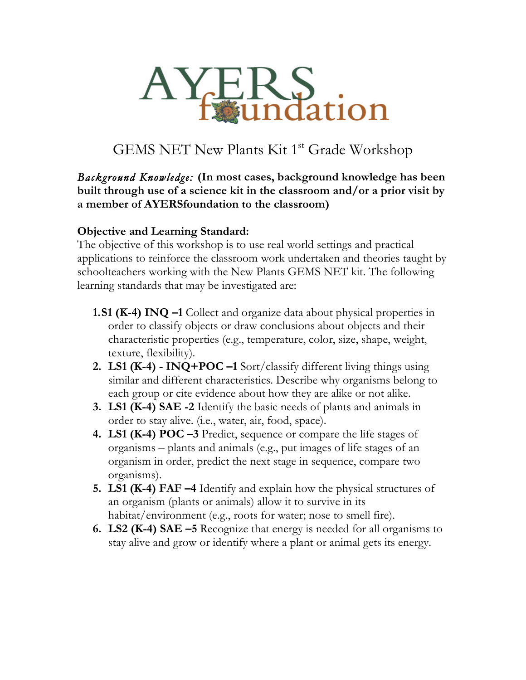

# GEMS NET New Plants Kit 1<sup>st</sup> Grade Workshop

*Background Knowledge:* **(In most cases, background knowledge has been built through use of a science kit in the classroom and/or a prior visit by a member of AYERSfoundation to the classroom)**

#### **Objective and Learning Standard:**

The objective of this workshop is to use real world settings and practical applications to reinforce the classroom work undertaken and theories taught by schoolteachers working with the New Plants GEMS NET kit. The following learning standards that may be investigated are:

- **1.S1 (K-4) INQ –1** Collect and organize data about physical properties in order to classify objects or draw conclusions about objects and their characteristic properties (e.g., temperature, color, size, shape, weight, texture, flexibility).
- **2. LS1 (K-4) - INQ+POC –1** Sort/classify different living things using similar and different characteristics. Describe why organisms belong to each group or cite evidence about how they are alike or not alike.
- **3. LS1 (K-4) SAE -2** Identify the basic needs of plants and animals in order to stay alive. (i.e., water, air, food, space).
- **4. LS1 (K-4) POC –3** Predict, sequence or compare the life stages of organisms – plants and animals (e.g., put images of life stages of an organism in order, predict the next stage in sequence, compare two organisms).
- **5. LS1 (K-4) FAF –4** Identify and explain how the physical structures of an organism (plants or animals) allow it to survive in its habitat/environment (e.g., roots for water; nose to smell fire).
- **6. LS2 (K-4) SAE –5** Recognize that energy is needed for all organisms to stay alive and grow or identify where a plant or animal gets its energy.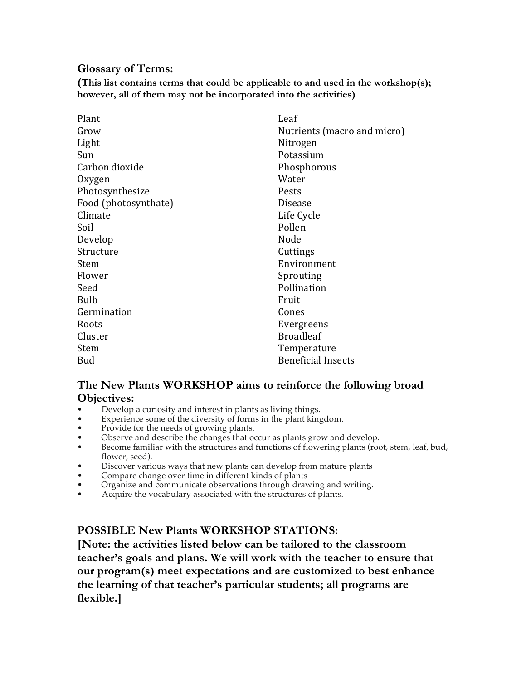#### **Glossary of Terms:**

**(This list contains terms that could be applicable to and used in the workshop(s); however, all of them may not be incorporated into the activities)**

| Plant                | Leaf                        |
|----------------------|-----------------------------|
| Grow                 | Nutrients (macro and micro) |
| Light                | Nitrogen                    |
| Sun                  | Potassium                   |
| Carbon dioxide       | Phosphorous                 |
| Oxygen               | Water                       |
| Photosynthesize      | Pests                       |
| Food (photosynthate) | <b>Disease</b>              |
| Climate              | Life Cycle                  |
| Soil                 | Pollen                      |
| Develop              | Node                        |
| Structure            | Cuttings                    |
| Stem                 | Environment                 |
| Flower               | Sprouting                   |
| Seed                 | Pollination                 |
| <b>Bulb</b>          | Fruit                       |
| Germination          | Cones                       |
| Roots                | Evergreens                  |
| Cluster              | <b>Broadleaf</b>            |
| Stem                 | Temperature                 |
| <b>Bud</b>           | <b>Beneficial Insects</b>   |

#### **The New Plants WORKSHOP aims to reinforce the following broad Objectives:**

- Develop a curiosity and interest in plants as living things.
- Experience some of the diversity of forms in the plant kingdom.
- Provide for the needs of growing plants.
- Observe and describe the changes that occur as plants grow and develop.
- Become familiar with the structures and functions of flowering plants (root, stem, leaf, bud, flower, seed).
- Discover various ways that new plants can develop from mature plants
- Compare change over time in different kinds of plants
- Organize and communicate observations through drawing and writing.
- Acquire the vocabulary associated with the structures of plants.

#### **POSSIBLE New Plants WORKSHOP STATIONS:**

**[Note: the activities listed below can be tailored to the classroom teacher's goals and plans. We will work with the teacher to ensure that our program(s) meet expectations and are customized to best enhance the learning of that teacher's particular students; all programs are flexible.]**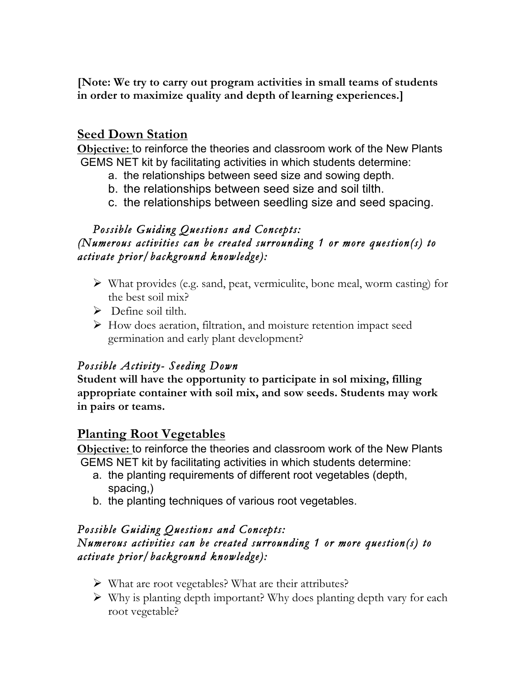**[Note: We try to carry out program activities in small teams of students in order to maximize quality and depth of learning experiences.]**

# **Seed Down Station**

**Objective:** to reinforce the theories and classroom work of the New Plants GEMS NET kit by facilitating activities in which students determine:

- a. the relationships between seed size and sowing depth.
- b. the relationships between seed size and soil tilth.
- c. the relationships between seedling size and seed spacing.

## *Possible Guiding Questions and Concepts: (Numerous activities can be created surrounding 1 or more question(s) to activate prior/background knowledge):*

- $\triangleright$  What provides (e.g. sand, peat, vermiculite, bone meal, worm casting) for the best soil mix?
- $\triangleright$  Define soil tilth.
- Ø How does aeration, filtration, and moisture retention impact seed germination and early plant development?

# *Possible Activity- Seeding Down*

**Student will have the opportunity to participate in sol mixing, filling appropriate container with soil mix, and sow seeds. Students may work in pairs or teams.**

# **Planting Root Vegetables**

**Objective:** to reinforce the theories and classroom work of the New Plants GEMS NET kit by facilitating activities in which students determine:

- a. the planting requirements of different root vegetables (depth, spacing,)
- b. the planting techniques of various root vegetables.

#### *Possible Guiding Questions and Concepts: Numerous activities can be created surrounding 1 or more question(s) to activate prior/background knowledge):*

- $\triangleright$  What are root vegetables? What are their attributes?
- $\triangleright$  Why is planting depth important? Why does planting depth vary for each root vegetable?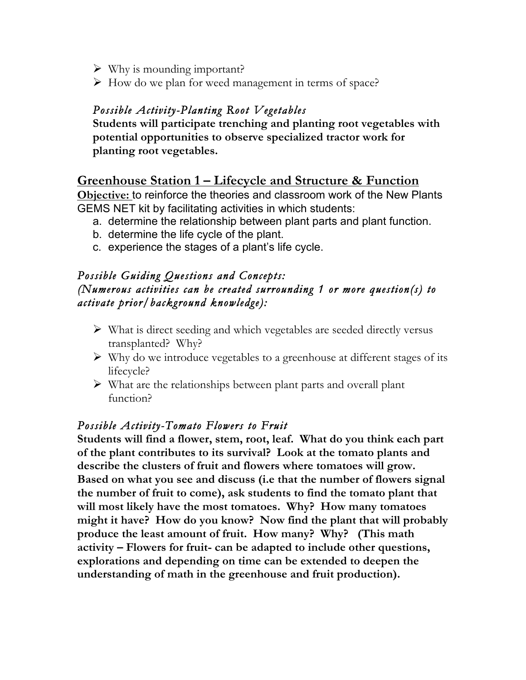- $\triangleright$  Why is mounding important?
- $\triangleright$  How do we plan for weed management in terms of space?

## *Possible Activity-Planting Root Vegetables*

**Students will participate trenching and planting root vegetables with potential opportunities to observe specialized tractor work for planting root vegetables.**

# **Greenhouse Station 1 – Lifecycle and Structure & Function**

**Objective:** to reinforce the theories and classroom work of the New Plants GEMS NET kit by facilitating activities in which students:

- a. determine the relationship between plant parts and plant function.
- b. determine the life cycle of the plant.
- c. experience the stages of a plant's life cycle.

## *Possible Guiding Questions and Concepts: (Numerous activities can be created surrounding 1 or more question(s) to activate prior/background knowledge):*

- $\triangleright$  What is direct seeding and which vegetables are seeded directly versus transplanted? Why?
- $\triangleright$  Why do we introduce vegetables to a greenhouse at different stages of its lifecycle?
- $\triangleright$  What are the relationships between plant parts and overall plant function?

## *Possible Activity-Tomato Flowers to Fruit*

**Students will find a flower, stem, root, leaf. What do you think each part of the plant contributes to its survival? Look at the tomato plants and describe the clusters of fruit and flowers where tomatoes will grow. Based on what you see and discuss (i.e that the number of flowers signal the number of fruit to come), ask students to find the tomato plant that will most likely have the most tomatoes. Why? How many tomatoes might it have? How do you know? Now find the plant that will probably produce the least amount of fruit. How many? Why? (This math activity – Flowers for fruit- can be adapted to include other questions, explorations and depending on time can be extended to deepen the understanding of math in the greenhouse and fruit production).**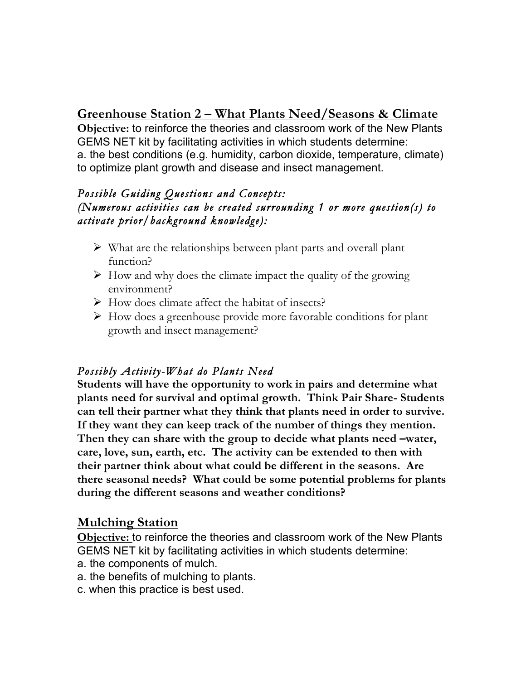# **Greenhouse Station 2 – What Plants Need/Seasons & Climate**

**Objective:** to reinforce the theories and classroom work of the New Plants GEMS NET kit by facilitating activities in which students determine: a. the best conditions (e.g. humidity, carbon dioxide, temperature, climate) to optimize plant growth and disease and insect management.

## *Possible Guiding Questions and Concepts: (Numerous activities can be created surrounding 1 or more question(s) to activate prior/background knowledge):*

- $\triangleright$  What are the relationships between plant parts and overall plant function?
- $\triangleright$  How and why does the climate impact the quality of the growing environment?
- $\triangleright$  How does climate affect the habitat of insects?
- $\triangleright$  How does a greenhouse provide more favorable conditions for plant growth and insect management?

# *Possibly Activity-What do Plants Need*

**Students will have the opportunity to work in pairs and determine what plants need for survival and optimal growth. Think Pair Share- Students can tell their partner what they think that plants need in order to survive. If they want they can keep track of the number of things they mention. Then they can share with the group to decide what plants need –water, care, love, sun, earth, etc. The activity can be extended to then with their partner think about what could be different in the seasons. Are there seasonal needs? What could be some potential problems for plants during the different seasons and weather conditions?**

# **Mulching Station**

**Objective:** to reinforce the theories and classroom work of the New Plants GEMS NET kit by facilitating activities in which students determine:

- a. the components of mulch.
- a. the benefits of mulching to plants.
- c. when this practice is best used.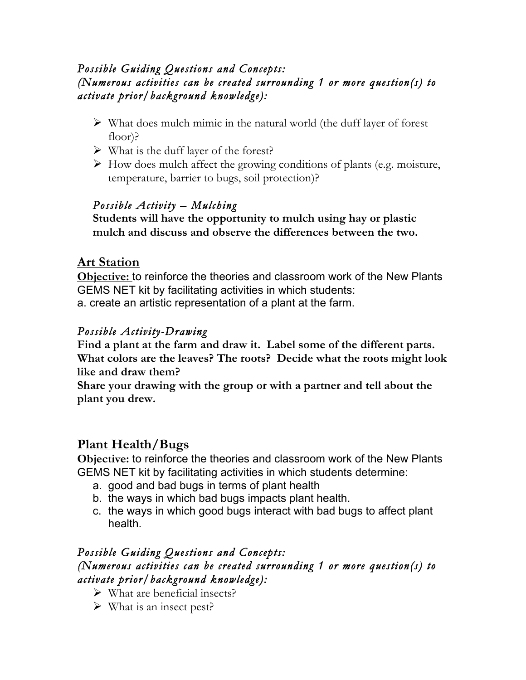## *Possible Guiding Questions and Concepts: (Numerous activities can be created surrounding 1 or more question(s) to activate prior/background knowledge):*

- $\triangleright$  What does mulch mimic in the natural world (the duff layer of forest floor)?
- $\triangleright$  What is the duff layer of the forest?
- $\triangleright$  How does mulch affect the growing conditions of plants (e.g. moisture, temperature, barrier to bugs, soil protection)?

# *Possible Activity – Mulching*

**Students will have the opportunity to mulch using hay or plastic mulch and discuss and observe the differences between the two.**

# **Art Station**

**Objective:** to reinforce the theories and classroom work of the New Plants GEMS NET kit by facilitating activities in which students: a. create an artistic representation of a plant at the farm.

## *Possible Activity-Drawing*

**Find a plant at the farm and draw it. Label some of the different parts. What colors are the leaves? The roots? Decide what the roots might look like and draw them?** 

**Share your drawing with the group or with a partner and tell about the plant you drew.** 

# **Plant Health/Bugs**

**Objective:** to reinforce the theories and classroom work of the New Plants GEMS NET kit by facilitating activities in which students determine:

- a. good and bad bugs in terms of plant health
- b. the ways in which bad bugs impacts plant health.
- c. the ways in which good bugs interact with bad bugs to affect plant health.

#### *Possible Guiding Questions and Concepts: (Numerous activities can be created surrounding 1 or more question(s) to activate prior/background knowledge):*

- $\triangleright$  What are beneficial insects?
- $\triangleright$  What is an insect pest?